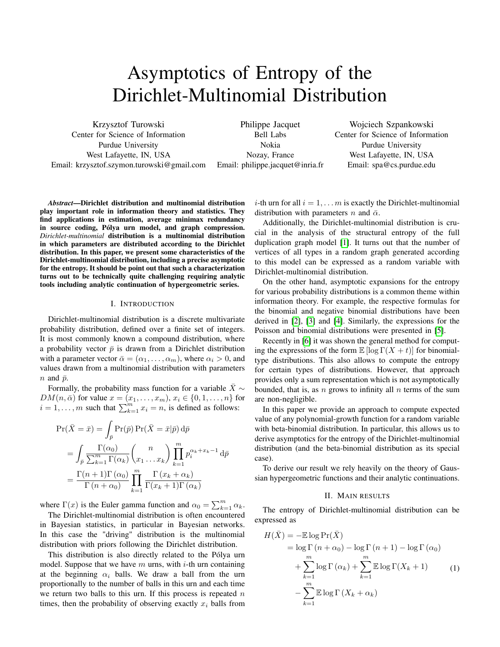# Asymptotics of Entropy of the Dirichlet-Multinomial Distribution

Krzysztof Turowski Center for Science of Information Purdue University West Lafayette, IN, USA Email: krzysztof.szymon.turowski@gmail.com

Philippe Jacquet Bell Labs Nokia Nozay, France Email: philippe.jacquet@inria.fr

Wojciech Szpankowski Center for Science of Information Purdue University West Lafayette, IN, USA Email: spa@cs.purdue.edu

*Abstract*—Dirichlet distribution and multinomial distribution play important role in information theory and statistics. They find applications in estimation, average minimax redundancy in source coding, Pólya urn model, and graph compression. *Dirichlet-multinomial* distribution is a multinomial distribution in which parameters are distributed according to the Dirichlet distribution. In this paper, we present some characteristics of the Dirichlet-multinomial distribution, including a precise asymptotic for the entropy. It should be point out that such a characterization turns out to be technically quite challenging requiring analytic tools including analytic continuation of hypergeometric series.

### I. INTRODUCTION

Dirichlet-multinomial distribution is a discrete multivariate probability distribution, defined over a finite set of integers. It is most commonly known a compound distribution, where a probability vector  $\bar{p}$  is drawn from a Dirichlet distribution with a parameter vector  $\bar{\alpha} = (\alpha_1, \dots, \alpha_m)$ , where  $\alpha_i > 0$ , and values drawn from a multinomial distribution with parameters  $n$  and  $\bar{p}$ .

Formally, the probability mass function for a variable  $\bar{X}$  ∼  $DM(n, \bar{\alpha})$  for value  $x = (x_1, \ldots, x_m), x_i \in \{0, 1, \ldots, n\}$  for  $i = 1, \ldots, m$  such that  $\sum_{k=1}^{m} x_i = n$ , is defined as follows:

$$
\Pr(\bar{X} = \bar{x}) = \int_{\bar{p}} \Pr(\bar{p}) \Pr(\bar{X} = \bar{x} | \bar{p}) d\bar{p}
$$

$$
= \int_{\bar{p}} \frac{\Gamma(\alpha_0)}{\sum_{k=1}^{m} \Gamma(\alpha_k)} {n \choose x_1 \dots x_k} \prod_{k=1}^{m} p_i^{\alpha_k + x_k - 1} d\bar{p}
$$

$$
= \frac{\Gamma(n+1)\Gamma(\alpha_0)}{\Gamma(n+\alpha_0)} \prod_{k=1}^{m} \frac{\Gamma(x_k + \alpha_k)}{\Gamma(x_k + 1)\Gamma(\alpha_k)}
$$

where  $\Gamma(x)$  is the Euler gamma function and  $\alpha_0 = \sum_{k=1}^m \alpha_k$ .

The Dirichlet-multinomial distribution is often encountered in Bayesian statistics, in particular in Bayesian networks. In this case the "driving" distribution is the multinomial distribution with priors following the Dirichlet distribution.

This distribution is also directly related to the Pólya urn model. Suppose that we have m urns, with  $i$ -th urn containing at the beginning  $\alpha_i$  balls. We draw a ball from the urn proportionally to the number of balls in this urn and each time we return two balls to this urn. If this process is repeated  $n$ times, then the probability of observing exactly  $x_i$  balls from *i*-th urn for all  $i = 1, \ldots, m$  is exactly the Dirichlet-multinomial distribution with parameters n and  $\bar{\alpha}$ .

Additionally, the Dirichlet-multinomial distribution is crucial in the analysis of the structural entropy of the full duplication graph model [\[1\]](#page-4-0). It turns out that the number of vertices of all types in a random graph generated according to this model can be expressed as a random variable with Dirichlet-multinomial distribution.

On the other hand, asymptotic expansions for the entropy for various probability distributions is a common theme within information theory. For example, the respective formulas for the binomial and negative binomial distributions have been derived in [\[2\]](#page-4-1), [\[3\]](#page-4-2) and [\[4\]](#page-4-3). Similarly, the expressions for the Poisson and binomial distributions were presented in [\[5\]](#page-4-4).

Recently in [\[6\]](#page-4-5) it was shown the general method for computing the expressions of the form  $\mathbb{E} [\log \Gamma(X + t)]$  for binomialtype distributions. This also allows to compute the entropy for certain types of distributions. However, that approach provides only a sum representation which is not asymptotically bounded, that is, as n grows to infinity all  $n$  terms of the sum are non-negligible.

In this paper we provide an approach to compute expected value of any polynomial-growth function for a random variable with beta-binomial distribution. In particular, this allows us to derive asymptotics for the entropy of the Dirichlet-multinomial distribution (and the beta-binomial distribution as its special case).

To derive our result we rely heavily on the theory of Gaussian hypergeometric functions and their analytic continuations.

## <span id="page-0-0"></span>II. MAIN RESULTS

The entropy of Dirichlet-multinomial distribution can be expressed as

$$
H(\bar{X}) = -\mathbb{E}\log \Pr(\bar{X})
$$
  
=  $\log \Gamma(n + \alpha_0) - \log \Gamma(n + 1) - \log \Gamma(\alpha_0)$   
+  $\sum_{k=1}^{m} \log \Gamma(\alpha_k) + \sum_{k=1}^{m} \mathbb{E}\log \Gamma(X_k + 1)$  (1)  
-  $\sum_{k=1}^{m} \mathbb{E}\log \Gamma(X_k + \alpha_k)$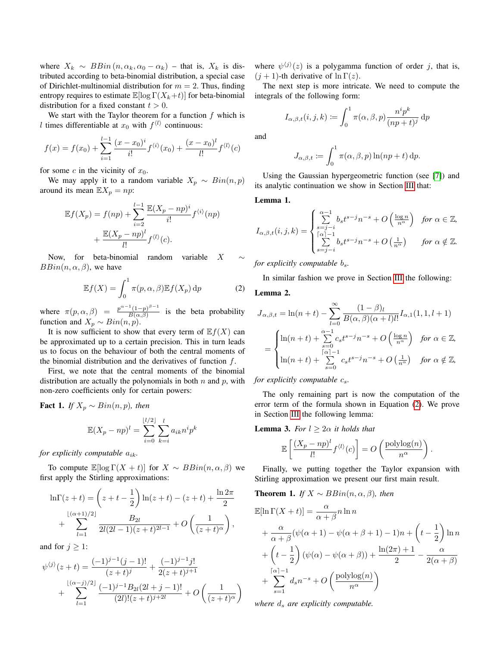where  $X_k \sim BBin(n, \alpha_k, \alpha_0 - \alpha_k)$  – that is,  $X_k$  is distributed according to beta-binomial distribution, a special case of Dirichlet-multinomial distribution for  $m = 2$ . Thus, finding entropy requires to estimate  $\mathbb{E}[\log \Gamma(X_k+t)]$  for beta-binomial distribution for a fixed constant  $t > 0$ .

We start with the Taylor theorem for a function  $f$  which is l times differentiable at  $x_0$  with  $f^{\langle l \rangle}$  continuous:

$$
f(x) = f(x_0) + \sum_{i=1}^{l-1} \frac{(x - x_0)^i}{i!} f^{\langle i \rangle}(x_0) + \frac{(x - x_0)^l}{l!} f^{\langle l \rangle}(c)
$$

for some c in the vicinity of  $x_0$ .

We may apply it to a random variable  $X_p \sim Bin(n, p)$ around its mean  $\mathbb{E}X_p = np$ :

$$
\mathbb{E}f(X_p) = f(np) + \sum_{i=2}^{l-1} \frac{\mathbb{E}(X_p - np)^i}{i!} f^{\langle i \rangle}(np) + \frac{\mathbb{E}(X_p - np)^l}{l!} f^{\langle l \rangle}(c).
$$

Now, for beta-binomial random variable  $X$  $BBin(n, \alpha, \beta)$ , we have

$$
\mathbb{E}f(X) = \int_0^1 \pi(p, \alpha, \beta) \mathbb{E}f(X_p) \, dp \tag{2}
$$

where  $\pi(p, \alpha, \beta) = \frac{p^{\alpha-1}(1-p)^{\beta-1}}{B(\alpha, \beta)}$  $\frac{(1-p)^n}{B(\alpha,\beta)}$  is the beta probability function and  $X_p \sim Bin(n, p)$ .

It is now sufficient to show that every term of  $E f(X)$  can be approximated up to a certain precision. This in turn leads us to focus on the behaviour of both the central moments of the binomial distribution and the derivatives of function f.

First, we note that the central moments of the binomial distribution are actually the polynomials in both  $n$  and  $p$ , with non-zero coefficients only for certain powers:

Fact 1. *If*  $X_p \sim Bin(n, p)$ *, then* 

$$
\mathbb{E}(X_p - np)^l = \sum_{i=0}^{\lfloor l/2 \rfloor} \sum_{k=i}^l a_{ik} n^i p^k
$$

*for explicitly computable*  $a_{ik}$ *.* 

To compute  $\mathbb{E}[\log \Gamma(X + t)]$  for  $X \sim BBin(n, \alpha, \beta)$  we first apply the Stirling approximations:

$$
\ln\Gamma(z+t) = \left(z+t-\frac{1}{2}\right)\ln(z+t) - (z+t) + \frac{\ln 2\pi}{2} + \sum_{l=1}^{\lfloor (\alpha+1)/2 \rfloor} \frac{B_{2l}}{2l(2l-1)(z+t)^{2l-1}} + O\left(\frac{1}{(z+t)^{\alpha}}\right),
$$

and for  $j \geq 1$ :

$$
\psi^{(j)}(z+t) = \frac{(-1)^{j-1}(j-1)!}{(z+t)^j} + \frac{(-1)^{j-1}j!}{2(z+t)^{j+1}} + \sum_{l=1}^{\lfloor (\alpha-j)/2 \rfloor} \frac{(-1)^{j-1}B_{2l}(2l+j-1)!}{(2l)!(z+t)^{j+2l}} + O\left(\frac{1}{(z+t)^{\alpha}}\right)
$$

where  $\psi^{(j)}(z)$  is a polygamma function of order j, that is,  $(j + 1)$ -th derivative of  $\ln \Gamma(z)$ .

The next step is more intricate. We need to compute the integrals of the following form:

$$
I_{\alpha,\beta,t}(i,j,k) := \int_0^1 \pi(\alpha,\beta,p) \frac{n^i p^k}{(np+t)^j} dp
$$

and

$$
J_{\alpha,\beta,t} := \int_0^1 \pi(\alpha,\beta,p) \ln(np+t) \,dp.
$$

Using the Gaussian hypergeometric function (see [\[7\]](#page-4-6)) and its analytic continuation we show in Section [III](#page-2-0) that:

<span id="page-1-2"></span>Lemma 1.

$$
I_{\alpha,\beta,t}(i,j,k) = \begin{cases} \sum_{s=j-i}^{\alpha-1} b_s t^{s-j} n^{-s} + O\left(\frac{\log n}{n^{\alpha}}\right) & \text{for } \alpha \in \mathbb{Z},\\ \sum_{s=j-i}^{\lceil \alpha \rceil-1} b_s t^{s-j} n^{-s} + O\left(\frac{1}{n^{\alpha}}\right) & \text{for } \alpha \notin \mathbb{Z}. \end{cases}
$$

*for explicitly computable* bs*.*

In similar fashion we prove in Section [III](#page-2-0) the following:

<span id="page-1-3"></span><span id="page-1-0"></span>Lemma 2.

$$
J_{\alpha,\beta,t} = \ln(n+t) - \sum_{l=0}^{\infty} \frac{(1-\beta)_l}{B(\alpha,\beta)(\alpha+l)l!} I_{\alpha,1}(1,1,l+1)
$$
  
= 
$$
\begin{cases} \ln(n+t) + \sum_{s=0}^{\alpha-1} c_s t^{s-j} n^{-s} + O\left(\frac{\log n}{n^{\alpha}}\right) & \text{for } \alpha \in \mathbb{Z}, \\ \ln(n+t) + \sum_{s=0}^{\lceil \alpha \rceil - 1} c_s t^{s-j} n^{-s} + O\left(\frac{1}{n^{\alpha}}\right) & \text{for } \alpha \notin \mathbb{Z}, \end{cases}
$$

*for explicitly computable*  $c_s$ *.* 

The only remaining part is now the computation of the error term of the formula shown in Equation [\(2\)](#page-1-0). We prove in Section [III](#page-2-0) the following lemma:

<span id="page-1-4"></span>**Lemma 3.** For 
$$
l \geq 2\alpha
$$
 it holds that

$$
\mathbb{E}\left[\frac{(X_p - np)^l}{l!} f^{(l)}(c)\right] = O\left(\frac{\text{polylog}(n)}{n^{\alpha}}\right).
$$

Finally, we putting together the Taylor expansion with Stirling approximation we present our first main result.

<span id="page-1-1"></span>**Theorem 1.** *If*  $X \sim BBin(n, \alpha, \beta)$ *, then* 

$$
\mathbb{E}[\ln \Gamma(X+t)] = \frac{\alpha}{\alpha+\beta} n \ln n
$$
  
+ 
$$
\frac{\alpha}{\alpha+\beta} (\psi(\alpha+1) - \psi(\alpha+\beta+1) - 1) n + \left(t - \frac{1}{2}\right) \ln n
$$
  
+ 
$$
\left(t - \frac{1}{2}\right) (\psi(\alpha) - \psi(\alpha+\beta)) + \frac{\ln(2\pi) + 1}{2} - \frac{\alpha}{2(\alpha+\beta)}
$$
  
+ 
$$
\sum_{s=1}^{\lceil \alpha \rceil - 1} d_s n^{-s} + O\left(\frac{\text{polylog}(n)}{n^{\alpha}}\right)
$$

*where*  $d_s$  *are explicitly computable.*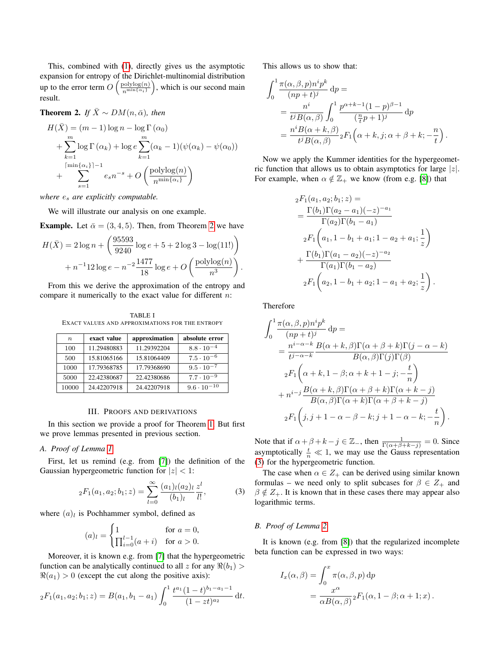This, combined with [\(1\)](#page-0-0), directly gives us the asymptotic expansion for entropy of the Dirichlet-multinomial distribution up to the error term  $O\left(\frac{\text{polylog}(n)}{\text{min}\{\alpha_i\}}\right)$  $\frac{\text{polylog}(n)}{n^{\min{\{\alpha_i\}}}}$ , which is our second main result.

# <span id="page-2-1"></span>**Theorem 2.** *If*  $\bar{X} \sim DM(n, \bar{\alpha})$ *, then*

$$
H(\bar{X}) = (m-1)\log n - \log \Gamma(\alpha_0)
$$
  
+ 
$$
\sum_{k=1}^{m} \log \Gamma(\alpha_k) + \log e \sum_{k=1}^{m} (\alpha_k - 1)(\psi(\alpha_k) - \psi(\alpha_0))
$$
  
+ 
$$
\sum_{s=1}^{\lceil \min{\{\alpha_i\}} \rceil - 1} e_s n^{-s} + O\left(\frac{\text{polylog}(n)}{n^{\min{\{\alpha_i\}}}}\right)
$$

*where* e<sup>s</sup> *are explicitly computable.*

We will illustrate our analysis on one example.

**Example.** Let  $\bar{\alpha} = (3, 4, 5)$ . Then, from Theorem [2](#page-2-1) we have

$$
H(\bar{X}) = 2\log n + \left(\frac{95593}{9240}\log e + 5 + 2\log 3 - \log(11!)\right) + n^{-1}12\log e - n^{-2}\frac{1477}{18}\log e + O\left(\frac{\text{polylog}(n)}{n^3}\right).
$$

From this we derive the approximation of the entropy and compare it numerically to the exact value for different  $n$ :

TABLE I EXACT VALUES AND APPROXIMATIONS FOR THE ENTROPY

| $n_{\cdot}$ | exact value | approximation | absolute error       |
|-------------|-------------|---------------|----------------------|
| 100         | 11.29480883 | 11.29392204   | $8.8 \cdot 10^{-4}$  |
| 500         | 15.81065166 | 15.81064409   | $7.5 \cdot 10^{-6}$  |
| 1000        | 17.79368785 | 17.79368690   | $9.5 \cdot 10^{-7}$  |
| 5000        | 22.42380687 | 22.42380686   | $7.7 \cdot 10^{-9}$  |
| 10000       | 24.42207918 | 24.42207918   | $9.6 \cdot 10^{-10}$ |

#### III. PROOFS AND DERIVATIONS

<span id="page-2-0"></span>In this section we provide a proof for Theorem [1.](#page-1-1) But first we prove lemmas presented in previous section.

## *A. Proof of Lemma [1](#page-1-2)*

First, let us remind (e.g. from [\[7\]](#page-4-6)) the definition of the Gaussian hypergeometric function for  $|z| < 1$ :

$$
{}_2F_1(a_1, a_2; b_1; z) = \sum_{l=0}^{\infty} \frac{(a_1)_l(a_2)_l}{(b_1)_l} \frac{z^l}{l!},
$$
 (3)

where  $(a)_l$  is Pochhammer symbol, defined as

$$
(a)_l = \begin{cases} 1 & \text{for } a = 0, \\ \prod_{i=0}^{l-1} (a+i) & \text{for } a > 0. \end{cases}
$$

Moreover, it is known e.g. from [\[7\]](#page-4-6) that the hypergeometric function can be analytically continued to all z for any  $\Re(b_1)$  $\Re(a_1) > 0$  (except the cut along the positive axis):

$$
{}_2F_1(a_1, a_2; b_1; z) = B(a_1, b_1 - a_1) \int_0^1 \frac{t^{a_1}(1-t)^{b_1 - a_1 - 1}}{(1 - z t)^{a_2}} dt.
$$

This allows us to show that:

$$
\int_0^1 \frac{\pi(\alpha,\beta,p)n^i p^k}{(np+t)^j} dp =
$$
  
= 
$$
\frac{n^i}{t^j B(\alpha,\beta)} \int_0^1 \frac{p^{\alpha+k-1} (1-p)^{\beta-1}}{(\frac{n}{t}p+1)^j} dp
$$
  
= 
$$
\frac{n^i B(\alpha+k,\beta)}{t^j B(\alpha,\beta)} {}_2F_1\left(\alpha+k,j;\alpha+\beta+k;-\frac{n}{t}\right).
$$

Now we apply the Kummer identities for the hypergeometric function that allows us to obtain asymptotics for large  $|z|$ . For example, when  $\alpha \notin \mathbb{Z}_+$  we know (from e.g. [\[8\]](#page-4-7)) that

$$
{}_{2}F_{1}(a_{1}, a_{2}; b_{1}; z) =
$$
\n
$$
= \frac{\Gamma(b_{1})\Gamma(a_{2} - a_{1})(-z)^{-a_{1}}}{\Gamma(a_{2})\Gamma(b_{1} - a_{1})}
$$
\n
$$
{}_{2}F_{1}\left(a_{1}, 1 - b_{1} + a_{1}; 1 - a_{2} + a_{1}; \frac{1}{z}\right)
$$
\n
$$
+ \frac{\Gamma(b_{1})\Gamma(a_{1} - a_{2})(-z)^{-a_{2}}}{\Gamma(a_{1})\Gamma(b_{1} - a_{2})}
$$
\n
$$
{}_{2}F_{1}\left(a_{2}, 1 - b_{1} + a_{2}; 1 - a_{1} + a_{2}; \frac{1}{z}\right)
$$

.

Therefore

$$
\int_{0}^{1} \frac{\pi(\alpha,\beta,p)n^{i}p^{k}}{(np+t)^{j}} dp =
$$
\n
$$
= \frac{n^{i-\alpha-k}B(\alpha+k,\beta)\Gamma(\alpha+\beta+k)\Gamma(j-\alpha-k)}{t^{j-\alpha-k}} \frac{B(\alpha+k,\beta)\Gamma(\beta)\Gamma(\beta)}{B(\alpha,\beta)\Gamma(j)\Gamma(\beta)}
$$
\n
$$
{}_{2}F_{1}\left(\alpha+k,1-\beta;\alpha+k+1-j;-\frac{t}{n}\right)
$$
\n
$$
+ n^{i-j}\frac{B(\alpha+k,\beta)\Gamma(\alpha+\beta+k)\Gamma(\alpha+k-j)}{B(\alpha,\beta)\Gamma(\alpha+k)\Gamma(\alpha+\beta+k-j)}
$$
\n
$$
{}_{2}F_{1}\left(j,j+1-\alpha-\beta-k;j+1-\alpha-k;-\frac{t}{n}\right).
$$

Note that if  $\alpha + \beta + k - j \in \mathbb{Z}_-$ , then  $\frac{1}{\Gamma(\alpha + \beta + k - j)} = 0$ . Since asymptotically  $\frac{t}{n} \ll 1$ , we may use the Gauss representation [\(3\)](#page-2-2) for the hypergeometric function.

<span id="page-2-2"></span>The case when  $\alpha \in Z_+$  can be derived using similar known formulas – we need only to split subcases for  $\beta \in Z_+$  and  $\beta \notin Z_+$ . It is known that in these cases there may appear also logarithmic terms.

## *B. Proof of Lemma [2](#page-1-3)*

It is known (e.g. from [\[8\]](#page-4-7)) that the regularized incomplete beta function can be expressed in two ways:

$$
I_x(\alpha, \beta) = \int_0^x \pi(\alpha, \beta, p) dp
$$
  
= 
$$
\frac{x^{\alpha}}{\alpha B(\alpha, \beta)} {}_2F_1(\alpha, 1 - \beta; \alpha + 1; x).
$$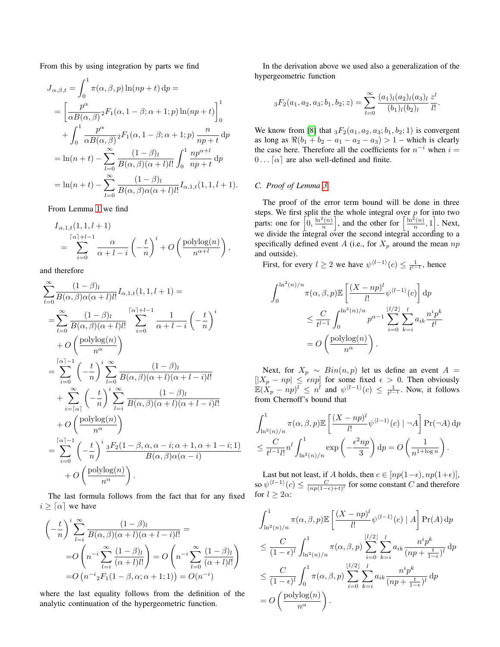From this by using integration by parts we find

$$
J_{\alpha,\beta,t} = \int_0^1 \pi(\alpha,\beta,p) \ln(np+t) dp =
$$
  
\n
$$
= \left[ \frac{p^{\alpha}}{\alpha B(\alpha,\beta)}{}_2F_1(\alpha, 1-\beta; \alpha+1; p) \ln(np+t) \right]_0^1
$$
  
\n
$$
+ \int_0^1 \frac{p^{\alpha}}{\alpha B(\alpha,\beta)}{}_2F_1(\alpha, 1-\beta; \alpha+1; p) \frac{n}{np+t} dp
$$
  
\n
$$
= \ln(n+t) - \sum_{l=0}^{\infty} \frac{(1-\beta)_l}{B(\alpha,\beta)(\alpha+l)l!} \int_0^1 \frac{np^{\alpha+l}}{np+t} dp
$$
  
\n
$$
= \ln(n+t) - \sum_{l=0}^{\infty} \frac{(1-\beta)_l}{B(\alpha,\beta)\alpha(\alpha+l)l!} I_{\alpha,1,t}(1,1,l+1).
$$

From Lemma [1](#page-1-2) we find

$$
I_{\alpha,1,t}(1,1,l+1)
$$
  
= 
$$
\sum_{i=0}^{\lceil \alpha \rceil + l - 1} \frac{\alpha}{\alpha + l - i} \left( -\frac{t}{n} \right)^i + O\left(\frac{\text{polylog}(n)}{n^{\alpha + l}}\right),
$$

and therefore

$$
\sum_{l=0}^{\infty} \frac{(1-\beta)l}{B(\alpha,\beta)\alpha(\alpha+l)l!} I_{\alpha,1,t}(1,1,l+1) =
$$
\n
$$
= \sum_{l=0}^{\infty} \frac{(1-\beta)l}{B(\alpha,\beta)(\alpha+l)l!} \sum_{i=0}^{\lceil \alpha \rceil + l - 1} \frac{1}{\alpha+l-i} \left( -\frac{t}{n} \right)^{i}
$$
\n
$$
+ O\left(\frac{\text{polylog}(n)}{n^{\alpha}}\right)
$$
\n
$$
= \sum_{i=0}^{\lceil \alpha \rceil - 1} \left( -\frac{t}{n} \right)^{i} \sum_{l=0}^{\infty} \frac{(1-\beta)l}{B(\alpha,\beta)(\alpha+l)(\alpha+l-i)l!}
$$
\n
$$
+ \sum_{i=\lceil \alpha \rceil}^{\infty} \left( -\frac{t}{n} \right)^{i} \sum_{l=i}^{\infty} \frac{(1-\beta)l}{B(\alpha,\beta)(\alpha+l)(\alpha+l-i)l!}
$$
\n
$$
+ O\left(\frac{\text{polylog}(n)}{n^{\alpha}}\right)
$$
\n
$$
= \sum_{i=0}^{\lceil \alpha \rceil - 1} \left( -\frac{t}{n} \right)^{i} \frac{3F_2(1-\beta,\alpha,\alpha-i;\alpha+1,\alpha+1-i;1)}{B(\alpha,\beta)\alpha(\alpha-i)}
$$
\n
$$
+ O\left(\frac{\text{polylog}(n)}{n^{\alpha}}\right).
$$

The last formula follows from the fact that for any fixed  $i \geq \lceil \alpha \rceil$  we have

$$
\left(-\frac{t}{n}\right)^i \sum_{l=i}^{\infty} \frac{(1-\beta)_l}{B(\alpha,\beta)(\alpha+l)(\alpha+l-i)l!} =
$$
  
=
$$
O\left(n^{-i} \sum_{l=i}^{\infty} \frac{(1-\beta)_l}{(\alpha+l)l!}\right) = O\left(n^{-i} \sum_{l=0}^{\infty} \frac{(1-\beta)_l}{(\alpha+l)l!}\right)
$$
  
=
$$
O\left(n^{-i} {}_2F_1(1-\beta,\alpha;\alpha+1;1)\right) = O(n^{-i})
$$

where the last equality follows from the definition of the analytic continuation of the hypergeometric function.

In the derivation above we used also a generalization of the hypergeometric function

$$
{}_3F_2(a_1, a_2, a_3; b_1, b_2; z) = \sum_{l=0}^{\infty} \frac{(a_1)_l (a_2)_l (a_3)_l}{(b_1)_l (b_2)_l} \frac{z^l}{l!}.
$$

We know from [\[8\]](#page-4-7) that  $_3F_2(a_1, a_2, a_3; b_1, b_2; 1)$  is convergent as long as  $\Re(b_1 + b_2 - a_1 - a_2 - a_3) > 1$  – which is clearly the case here. Therefore all the coefficients for  $n^{-i}$  when  $i =$  $0 \dots [\alpha]$  are also well-defined and finite.

# *C. Proof of Lemma [3](#page-1-4)*

The proof of the error term bound will be done in three steps. We first split the the whole integral over  $p$  for into two parts: one for  $\left[0, \frac{\ln^2(n)}{n}\right]$  $\left\lfloor \frac{\ln^2(n)}{n} \right\rfloor$ , and the other for  $\left\lceil \frac{\ln^2(n)}{n} \right\rceil$  $\left[\frac{n(n)}{n},1\right]$ . Next, we divide the integral over the second integral according to a specifically defined event A (i.e., for  $X_p$  around the mean  $np$ and outside).

First, for every  $l \geq 2$  we have  $\psi^{\langle l-1 \rangle}(c) \leq \frac{1}{t^{l-1}}$ , hence

$$
\int_0^{\ln^2(n)/n} \pi(\alpha,\beta,p) \mathbb{E}\left[\frac{(X - np)^l}{l!} \psi^{\langle l-1 \rangle}(c)\right] dp
$$
  

$$
\leq \frac{C}{t^{l-1}} \int_0^{\ln^2(n)/n} p^{\alpha-1} \sum_{i=0}^{\lfloor l/2 \rfloor} \sum_{k=i}^l a_{ik} \frac{n^i p^k}{t^l}
$$
  

$$
= O\left(\frac{\text{polylog}(n)}{n^{\alpha}}\right).
$$

Next, for  $X_p \sim Bin(n, p)$  let us define an event  $A =$  $[|X_p - np| \leq \epsilon np]$  for some fixed  $\epsilon > 0$ . Then obviously  $\mathbb{E}(X_p - np)^l \leq n^l$  and  $\psi^{(l-1)}(c) \leq \frac{1}{t^{l-1}}$ . Now, it follows from Chernoff's bound that

$$
\int_{\ln^2(n)/n}^1 \pi(\alpha,\beta,p) \mathbb{E}\left[\frac{(X - np)^l}{l!} \psi^{\langle l-1 \rangle}(c) \mid \neg A\right] \Pr(\neg A) dp
$$
  

$$
\leq \frac{C}{t^{l-1}l!} n^l \int_{\ln^2(n)/n}^1 \exp\left(-\frac{\epsilon^2 np}{3}\right) dp = O\left(\frac{1}{n^{1+\log n}}\right).
$$

Last but not least, if A holds, then  $c \in [np(1-\epsilon), np(1+\epsilon)],$ so  $\psi^{\langle l-1 \rangle}(c) \leq \frac{C}{(np(1-\epsilon)+t)^l}$  for some constant C and therefore for  $l \geq 2\alpha$ :

$$
\int_{\ln^2(n)/n}^1 \pi(\alpha,\beta,p) \mathbb{E}\left[\frac{(X - np)^l}{l!} \psi^{\langle l-1 \rangle}(c) \mid A\right] \Pr(A) dp
$$
  
\n
$$
\leq \frac{C}{(1 - \epsilon)^l} \int_{\ln^2(n)/n}^1 \pi(\alpha,\beta,p) \sum_{i=0}^{\lfloor l/2 \rfloor} \sum_{k=i}^l a_{ik} \frac{n^i p^k}{(np + \frac{t}{1 - \epsilon})^l} dp
$$
  
\n
$$
\leq \frac{C}{(1 - \epsilon)^l} \int_0^1 \pi(\alpha,\beta,p) \sum_{i=0}^{\lfloor l/2 \rfloor} \sum_{k=i}^l a_{ik} \frac{n^i p^k}{(np + \frac{t}{1 - \epsilon})^l} dp
$$
  
\n
$$
= O\left(\frac{\text{polylog}(n)}{n^{\alpha}}\right).
$$